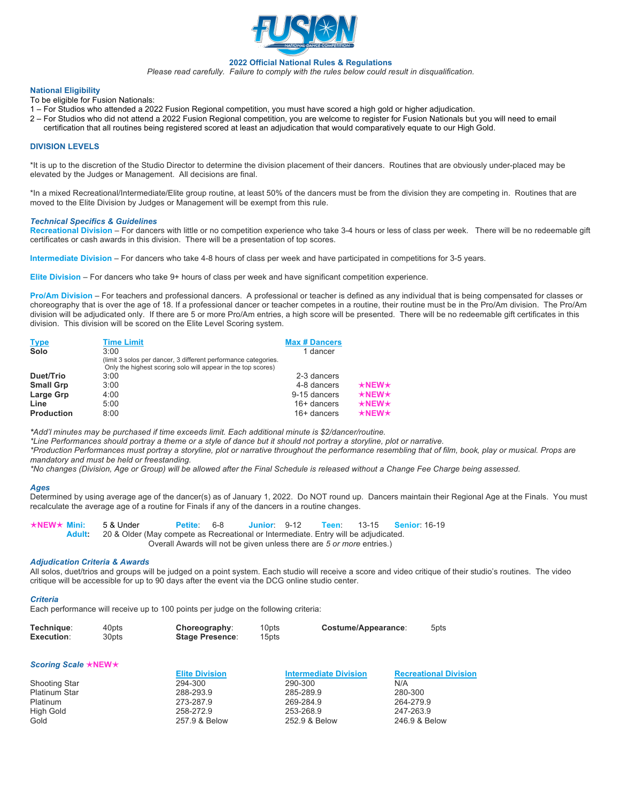

# **2022 Official National Rules & Regulations**

*Please read carefully. Failure to comply with the rules below could result in disqualification.*

# **National Eligibility**

To be eligible for Fusion Nationals:

- 1 For Studios who attended a 2022 Fusion Regional competition, you must have scored a high gold or higher adjudication.
- 2 For Studios who did not attend a 2022 Fusion Regional competition, you are welcome to register for Fusion Nationals but you will need to email certification that all routines being registered scored at least an adjudication that would comparatively equate to our High Gold.

# **DIVISION LEVELS**

\*It is up to the discretion of the Studio Director to determine the division placement of their dancers. Routines that are obviously under-placed may be elevated by the Judges or Management. All decisions are final.

\*In a mixed Recreational/Intermediate/Elite group routine, at least 50% of the dancers must be from the division they are competing in. Routines that are moved to the Elite Division by Judges or Management will be exempt from this rule.

#### *Technical Specifics & Guidelines*

Recreational Division – For dancers with little or no competition experience who take 3-4 hours or less of class per week. There will be no redeemable gift certificates or cash awards in this division. There will be a presentation of top scores.

**Intermediate Division** – For dancers who take 4-8 hours of class per week and have participated in competitions for 3-5 years.

**Elite Division** – For dancers who take 9+ hours of class per week and have significant competition experience.

**Pro/Am Division** – For teachers and professional dancers. A professional or teacher is defined as any individual that is being compensated for classes or choreography that is over the age of 18. If a professional dancer or teacher competes in a routine, their routine must be in the Pro/Am division. The Pro/Am division will be adjudicated only. If there are 5 or more Pro/Am entries, a high score will be presented. There will be no redeemable gift certificates in this division. This division will be scored on the Elite Level Scoring system.

| <b>Type</b><br>Solo | <b>Time Limit</b><br>3:00<br>(limit 3 solos per dancer, 3 different performance categories.<br>Only the highest scoring solo will appear in the top scores) | <b>Max # Dancers</b><br>1 dancer |                     |
|---------------------|-------------------------------------------------------------------------------------------------------------------------------------------------------------|----------------------------------|---------------------|
| Duet/Trio           | 3:00                                                                                                                                                        | 2-3 dancers                      | $\star$ NEW $\star$ |
| <b>Small Grp</b>    | 3:00                                                                                                                                                        | 4-8 dancers                      |                     |
| Large Grp           | 4:00                                                                                                                                                        | 9-15 dancers                     | $\star$ NEW $\star$ |
| Line                | 5:00                                                                                                                                                        | 16+ dancers                      | $\star$ NEW $\star$ |
| <b>Production</b>   | 8:00                                                                                                                                                        | 16+ dancers                      | $\star$ NEW $\star$ |

*\*Add'l minutes may be purchased if time exceeds limit. Each additional minute is \$2/dancer/routine.*

*\*Line Performances should portray a theme or a style of dance but it should not portray a storyline, plot or narrative. \*Production Performances must portray a storyline, plot or narrative throughout the performance resembling that of film, book, play or musical. Props are* 

*mandatory and must be held or freestanding. \*No changes (Division, Age or Group) will be allowed after the Final Schedule is released without a Change Fee Charge being assessed.*

# *Ages*

Determined by using average age of the dancer(s) as of January 1, 2022. Do NOT round up. Dancers maintain their Regional Age at the Finals. You must recalculate the average age of a routine for Finals if any of the dancers in a routine changes.

é**NEW**é **Mini:** 5 & Under **Petite**: 6-8 **Junior**: 9-12 **Teen**: 13-15 **Senior**: 16-19 **Adult:** 20 & Older (May compete as Recreational or Intermediate. Entry will be adjudicated. Overall Awards will not be given unless there are *5 or more* entries.)

# *Adjudication Criteria & Awards*

All solos, duet/trios and groups will be judged on a point system. Each studio will receive a score and video critique of their studio's routines. The video critique will be accessible for up to 90 days after the event via the DCG online studio center.

# *Criteria*

Each performance will receive up to 100 points per judge on the following criteria:

| Technique: | 40pts | Choreography:          | 10pts | Costume/Appearance: | 5pts |
|------------|-------|------------------------|-------|---------------------|------|
| Execution: | 30pts | <b>Stage Presence:</b> | 15pts |                     |      |

# **Scoring Scale**  $\star$ **NEW** $\star$

| Shooting Star        | 294-300       | 290-300       | N/A       |
|----------------------|---------------|---------------|-----------|
| <b>Platinum Star</b> | 288-293.9     | 285-289.9     | 280-300   |
| Platinum             | 273-287.9     | 269-284.9     | 264-279.9 |
| High Gold            | 258-272.9     | 253-268.9     | 247-263.9 |
| Gold                 | 257.9 & Below | 252.9 & Below | 246.9 & B |

# **<u>Elite Division</u>**<br>
294-300<br>
290-300<br>
290-300<br>
290-300<br> **INA**

Gold 257.9 & Below 252.9 & Below 246.9 & Below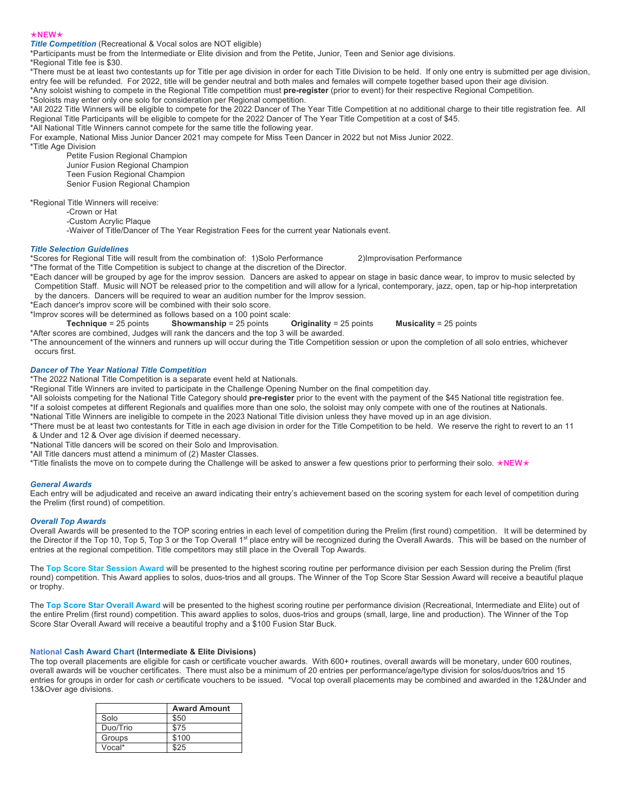# é**NEW**é

**Title Competition** (Recreational & Vocal solos are NOT eligible)

\*Participants must be from the Intermediate or Elite division and from the Petite, Junior, Teen and Senior age divisions. \*Regional Title fee is \$30.

\*There must be at least two contestants up for Title per age division in order for each Title Division to be held. If only one entry is submitted per age division, entry fee will be refunded. For 2022, title will be gender neutral and both males and females will compete together based upon their age division. \*Any soloist wishing to compete in the Regional Title competition must **pre-register** (prior to event) for their respective Regional Competition.

\*Soloists may enter only one solo for consideration per Regional competition.

\*All 2022 Title Winners will be eligible to compete for the 2022 Dancer of The Year Title Competition at no additional charge to their title registration fee. All Regional Title Participants will be eligible to compete for the 2022 Dancer of The Year Title Competition at a cost of \$45.

\*All National Title Winners cannot compete for the same title the following year.

For example, National Miss Junior Dancer 2021 may compete for Miss Teen Dancer in 2022 but not Miss Junior 2022.

\*Title Age Division

Petite Fusion Regional Champion Junior Fusion Regional Champion Teen Fusion Regional Champion Senior Fusion Regional Champion

\*Regional Title Winners will receive:

-Crown or Hat

-Custom Acrylic Plaque

-Waiver of Title/Dancer of The Year Registration Fees for the current year Nationals event.

# *Title Selection Guidelines*

\*Scores for Regional Title will result from the combination of: 1)Solo Performance 2)Improvisation Performance \*The format of the Title Competition is subject to change at the discretion of the Director.

\*Each dancer will be grouped by age for the improv session. Dancers are asked to appear on stage in basic dance wear, to improv to music selected by Competition Staff. Music will NOT be released prior to the competition and will allow for a lyrical, contemporary, jazz, open, tap or hip-hop interpretation by the dancers. Dancers will be required to wear an audition number for the Improv session.

\*Each dancer's improv score will be combined with their solo score.

\*Improv scores will be determined as follows based on a 100 point scale:

**Technique** = 25 points **Showmanship** = 25 points **Originality** = 25 points **Musicality** = 25 points \*After scores are combined, Judges will rank the dancers and the top 3 will be awarded.

\*The announcement of the winners and runners up will occur during the Title Competition session or upon the completion of all solo entries, whichever occurs first.

# *Dancer of The Year National Title Competition*

\*The 2022 National Title Competition is a separate event held at Nationals.

\*Regional Title Winners are invited to participate in the Challenge Opening Number on the final competition day.

\*All soloists competing for the National Title Category should **pre-register** prior to the event with the payment of the \$45 National title registration fee.

\*If a soloist competes at different Regionals and qualifies more than one solo, the soloist may only compete with one of the routines at Nationals.

\*National Title Winners are ineligible to compete in the 2023 National Title division unless they have moved up in an age division.

\*There must be at least two contestants for Title in each age division in order for the Title Competition to be held. We reserve the right to revert to an 11 & Under and 12 & Over age division if deemed necessary.

\*National Title dancers will be scored on their Solo and Improvisation.

\*All Title dancers must attend a minimum of (2) Master Classes.

\*Title finalists the move on to compete during the Challenge will be asked to answer a few questions prior to performing their solo. \*NEW\*

# *General Awards*

Each entry will be adjudicated and receive an award indicating their entry's achievement based on the scoring system for each level of competition during the Prelim (first round) of competition.

# *Overall Top Awards*

Overall Awards will be presented to the TOP scoring entries in each level of competition during the Prelim (first round) competition. It will be determined by the Director if the Top 10, Top 5, Top 3 or the Top Overall 1<sup>st</sup> place entry will be recognized during the Overall Awards. This will be based on the number of entries at the regional competition. Title competitors may still place in the Overall Top Awards.

The **Top Score Star Session Award** will be presented to the highest scoring routine per performance division per each Session during the Prelim (first round) competition. This Award applies to solos, duos-trios and all groups. The Winner of the Top Score Star Session Award will receive a beautiful plaque or trophy.

The Top Score Star Overall Award will be presented to the highest scoring routine per performance division (Recreational, Intermediate and Elite) out of the entire Prelim (first round) competition. This award applies to solos, duos-trios and groups (small, large, line and production). The Winner of the Top Score Star Overall Award will receive a beautiful trophy and a \$100 Fusion Star Buck.

# **National Cash Award Chart (Intermediate & Elite Divisions)**

The top overall placements are eligible for cash or certificate voucher awards. With 600+ routines, overall awards will be monetary, under 600 routines, overall awards will be voucher certificates. There must also be a minimum of 20 entries per performance/age/type division for solos/duos/trios and 15 entries for groups in order for cash *or* certificate vouchers to be issued. \*Vocal top overall placements may be combined and awarded in the 12&Under and 13&Over age divisions.

|          | <b>Award Amount</b> |
|----------|---------------------|
| Solo     | \$50                |
| Duo/Trio | \$75                |
| Groups   | \$100               |
| Vocal*   |                     |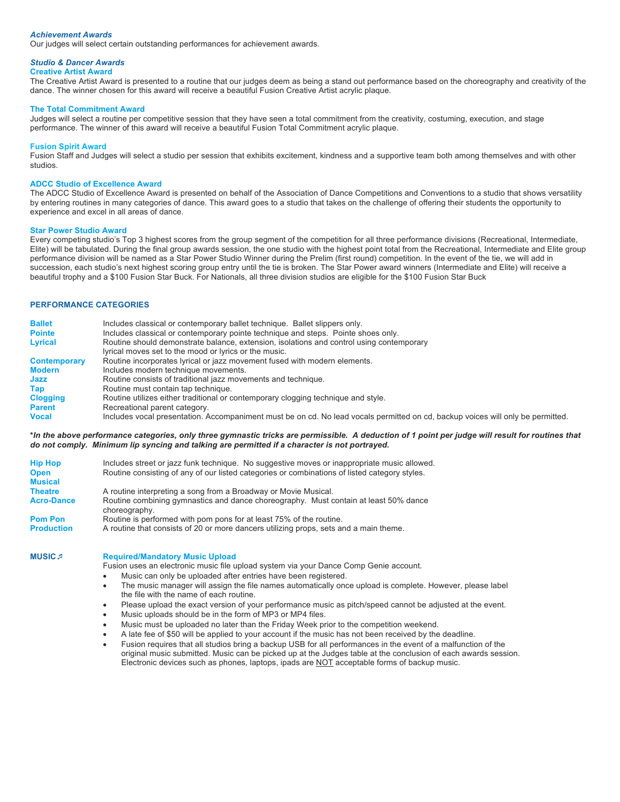# *Achievement Awards*

Our judges will select certain outstanding performances for achievement awards.

## *Studio & Dancer Awards*

#### **Creative Artist Award**

The Creative Artist Award is presented to a routine that our judges deem as being a stand out performance based on the choreography and creativity of the dance. The winner chosen for this award will receive a beautiful Fusion Creative Artist acrylic plaque.

#### **The Total Commitment Award**

Judges will select a routine per competitive session that they have seen a total commitment from the creativity, costuming, execution, and stage performance. The winner of this award will receive a beautiful Fusion Total Commitment acrylic plaque.

#### **Fusion Spirit Award**

Fusion Staff and Judges will select a studio per session that exhibits excitement, kindness and a supportive team both among themselves and with other studios.

# **ADCC Studio of Excellence Award**

The ADCC Studio of Excellence Award is presented on behalf of the Association of Dance Competitions and Conventions to a studio that shows versatility by entering routines in many categories of dance. This award goes to a studio that takes on the challenge of offering their students the opportunity to experience and excel in all areas of dance.

#### **Star Power Studio Award**

Every competing studio's Top 3 highest scores from the group segment of the competition for all three performance divisions (Recreational, Intermediate, Elite) will be tabulated. During the final group awards session, the one studio with the highest point total from the Recreational, Intermediate and Elite group performance division will be named as a Star Power Studio Winner during the Prelim (first round) competition. In the event of the tie, we will add in succession, each studio's next highest scoring group entry until the tie is broken. The Star Power award winners (Intermediate and Elite) will receive a beautiful trophy and a \$100 Fusion Star Buck. For Nationals, all three division studios are eligible for the \$100 Fusion Star Buck

#### **PERFORMANCE CATEGORIES**

| <b>Ballet</b>       | Includes classical or contemporary ballet technique. Ballet slippers only.                                                      |
|---------------------|---------------------------------------------------------------------------------------------------------------------------------|
| <b>Pointe</b>       | Includes classical or contemporary pointe technique and steps. Pointe shoes only.                                               |
| <b>Lyrical</b>      | Routine should demonstrate balance, extension, isolations and control using contemporary                                        |
|                     | lyrical moves set to the mood or lyrics or the music.                                                                           |
| <b>Contemporary</b> | Routine incorporates lyrical or jazz movement fused with modern elements.                                                       |
| <b>Modern</b>       | Includes modern technique movements.                                                                                            |
| Jazz                | Routine consists of traditional jazz movements and technique.                                                                   |
| Tap                 | Routine must contain tap technique.                                                                                             |
| <b>Clogging</b>     | Routine utilizes either traditional or contemporary clogging technique and style.                                               |
| <b>Parent</b>       | Recreational parent category.                                                                                                   |
| <b>Vocal</b>        | Includes vocal presentation. Accompaniment must be on cd. No lead vocals permitted on cd, backup voices will only be permitted. |

**\****In the above performance categories, only three gymnastic tricks are permissible. A deduction of 1 point per judge will result for routines that do not comply. Minimum lip syncing and talking are permitted if a character is not portrayed.*

| <b>Hip Hop</b>    | Includes street or jazz funk technique. No suggestive moves or inappropriate music allowed.           |  |
|-------------------|-------------------------------------------------------------------------------------------------------|--|
| <b>Open</b>       | Routine consisting of any of our listed categories or combinations of listed category styles.         |  |
| <b>Musical</b>    |                                                                                                       |  |
| <b>Theatre</b>    | A routine interpreting a song from a Broadway or Movie Musical.                                       |  |
| <b>Acro-Dance</b> | Routine combining gymnastics and dance choreography. Must contain at least 50% dance<br>choreography. |  |
| <b>Pom Pon</b>    | Routine is performed with pom pons for at least 75% of the routine.                                   |  |
| <b>Production</b> | A routine that consists of 20 or more dancers utilizing props, sets and a main theme.                 |  |

**MUSIC** $\beta$  **Required/Mandatory Music Upload** 

Fusion uses an electronic music file upload system via your Dance Comp Genie account.

- Music can only be uploaded after entries have been registered.
- The music manager will assign the file names automatically once upload is complete. However, please label the file with the name of each routine.
- Please upload the exact version of your performance music as pitch/speed cannot be adjusted at the event.
- Music uploads should be in the form of MP3 or MP4 files.
- Music must be uploaded no later than the Friday Week prior to the competition weekend.
- A late fee of \$50 will be applied to your account if the music has not been received by the deadline.
- Fusion requires that all studios bring a backup USB for all performances in the event of a malfunction of the original music submitted. Music can be picked up at the Judges table at the conclusion of each awards session. Electronic devices such as phones, laptops, ipads are NOT acceptable forms of backup music.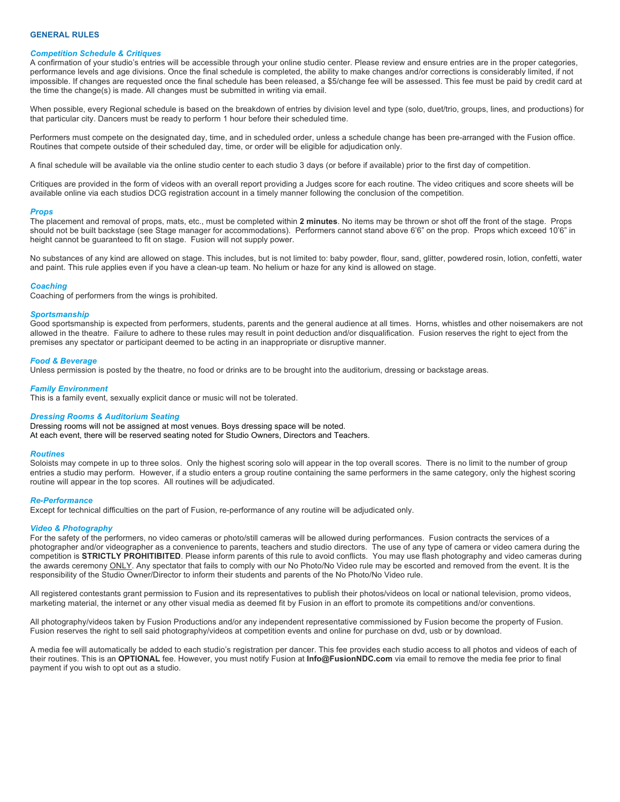# **GENERAL RULES**

# *Competition Schedule & Critiques*

A confirmation of your studio's entries will be accessible through your online studio center. Please review and ensure entries are in the proper categories, performance levels and age divisions. Once the final schedule is completed, the ability to make changes and/or corrections is considerably limited, if not impossible. If changes are requested once the final schedule has been released, a \$5/change fee will be assessed. This fee must be paid by credit card at the time the change(s) is made. All changes must be submitted in writing via email.

When possible, every Regional schedule is based on the breakdown of entries by division level and type (solo, duet/trio, groups, lines, and productions) for that particular city. Dancers must be ready to perform 1 hour before their scheduled time.

Performers must compete on the designated day, time, and in scheduled order, unless a schedule change has been pre-arranged with the Fusion office. Routines that compete outside of their scheduled day, time, or order will be eligible for adjudication only.

A final schedule will be available via the online studio center to each studio 3 days (or before if available) prior to the first day of competition.

Critiques are provided in the form of videos with an overall report providing a Judges score for each routine. The video critiques and score sheets will be available online via each studios DCG registration account in a timely manner following the conclusion of the competition.

#### *Props*

The placement and removal of props, mats, etc., must be completed within **2 minutes**. No items may be thrown or shot off the front of the stage. Props should not be built backstage (see Stage manager for accommodations). Performers cannot stand above 6'6" on the prop. Props which exceed 10'6" in height cannot be guaranteed to fit on stage. Fusion will not supply power.

No substances of any kind are allowed on stage. This includes, but is not limited to: baby powder, flour, sand, glitter, powdered rosin, lotion, confetti, water and paint. This rule applies even if you have a clean-up team. No helium or haze for any kind is allowed on stage.

#### *Coaching*

Coaching of performers from the wings is prohibited.

#### *Sportsmanship*

Good sportsmanship is expected from performers, students, parents and the general audience at all times. Horns, whistles and other noisemakers are not allowed in the theatre. Failure to adhere to these rules may result in point deduction and/or disqualification. Fusion reserves the right to eject from the premises any spectator or participant deemed to be acting in an inappropriate or disruptive manner.

# *Food & Beverage*

Unless permission is posted by the theatre, no food or drinks are to be brought into the auditorium, dressing or backstage areas.

### *Family Environment*

This is a family event, sexually explicit dance or music will not be tolerated.

# *Dressing Rooms & Auditorium Seating*

Dressing rooms will not be assigned at most venues. Boys dressing space will be noted. At each event, there will be reserved seating noted for Studio Owners, Directors and Teachers.

#### *Routines*

Soloists may compete in up to three solos. Only the highest scoring solo will appear in the top overall scores. There is no limit to the number of group entries a studio may perform. However, if a studio enters a group routine containing the same performers in the same category, only the highest scoring routine will appear in the top scores. All routines will be adjudicated.

#### *Re-Performance*

Except for technical difficulties on the part of Fusion, re-performance of any routine will be adjudicated only.

# *Video & Photography*

For the safety of the performers, no video cameras or photo/still cameras will be allowed during performances. Fusion contracts the services of a photographer and/or videographer as a convenience to parents, teachers and studio directors. The use of any type of camera or video camera during the competition is **STRICTLY PROHITIBITED**. Please inform parents of this rule to avoid conflicts. You may use flash photography and video cameras during the awards ceremony ONLY. Any spectator that fails to comply with our No Photo/No Video rule may be escorted and removed from the event. It is the responsibility of the Studio Owner/Director to inform their students and parents of the No Photo/No Video rule.

All registered contestants grant permission to Fusion and its representatives to publish their photos/videos on local or national television, promo videos, marketing material, the internet or any other visual media as deemed fit by Fusion in an effort to promote its competitions and/or conventions.

All photography/videos taken by Fusion Productions and/or any independent representative commissioned by Fusion become the property of Fusion. Fusion reserves the right to sell said photography/videos at competition events and online for purchase on dvd, usb or by download.

A media fee will automatically be added to each studio's registration per dancer. This fee provides each studio access to all photos and videos of each of their routines. This is an **OPTIONAL** fee. However, you must notify Fusion at **Info@FusionNDC.com** via email to remove the media fee prior to final payment if you wish to opt out as a studio.